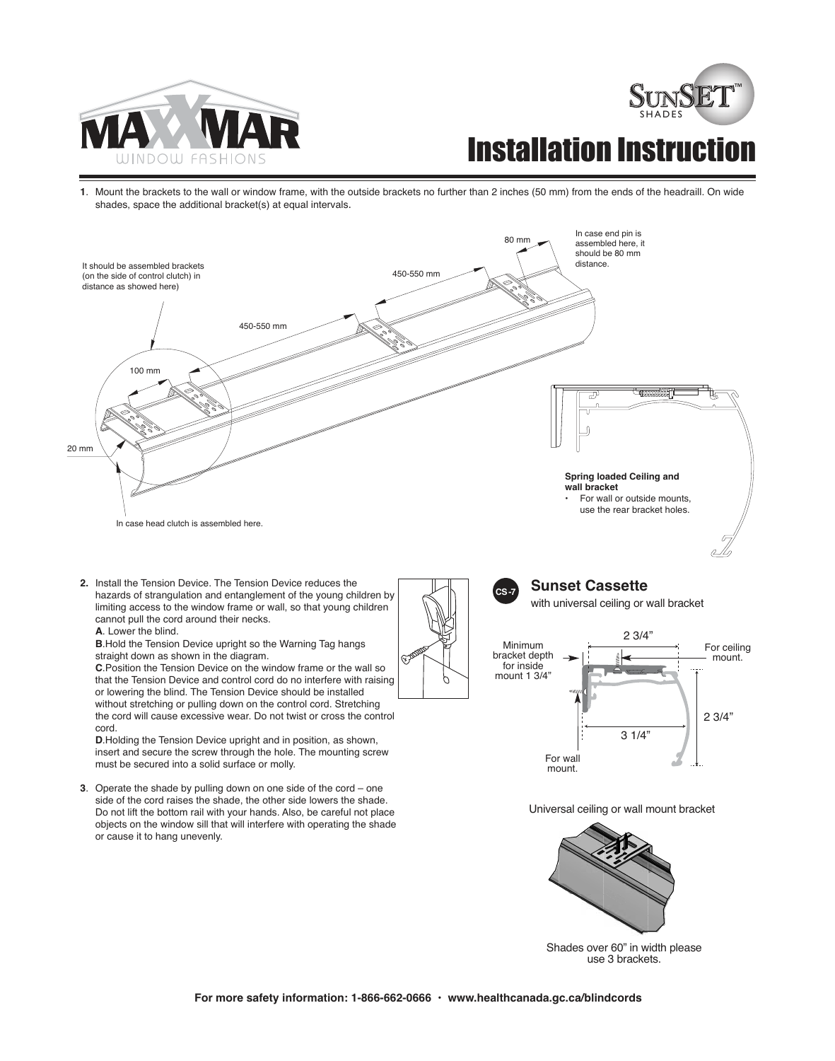



## **Installation Instruct**

**1**. Mount the brackets to the wall or window frame, with the outside brackets no further than 2 inches (50 mm) from the ends of the headraill. On wide shades, space the additional bracket(s) at equal intervals.



**2.** Install the Tension Device. The Tension Device reduces the hazards of strangulation and entanglement of the young children by limiting access to the window frame or wall, so that young children cannot pull the cord around their necks.

**A**. Lower the blind.

**B**.Hold the Tension Device upright so the Warning Tag hangs straight down as shown in the diagram.

**C**.Position the Tension Device on the window frame or the wall so that the Tension Device and control cord do no interfere with raising or lowering the blind. The Tension Device should be installed without stretching or pulling down on the control cord. Stretching the cord will cause excessive wear. Do not twist or cross the control cord.

**D**.Holding the Tension Device upright and in position, as shown, insert and secure the screw through the hole. The mounting screw must be secured into a solid surface or molly.

**3**. Operate the shade by pulling down on one side of the cord – one side of the cord raises the shade, the other side lowers the shade. Do not lift the bottom rail with your hands. Also, be careful not place objects on the window sill that will interfere with operating the shade or cause it to hang unevenly.



## **Sunset Cassette**

with universal ceiling or wall bracket



Universal ceiling or wall mount bracket



Shades over 60" in width please use 3 brackets.